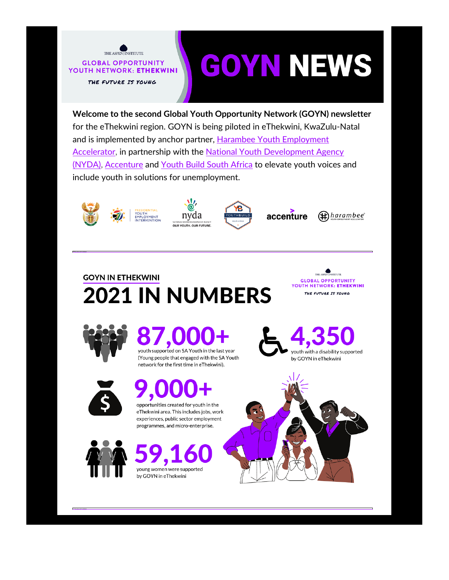

# **GOYN NEWS**

Welcome to the second Global Youth Opportunity Network (GOYN) newsletter for the eThekwini region. GOYN is being piloted in eThekwini, KwaZulu-Natal and is implemented by anchor partner, Harambee Youth Employment **Accelerator, in partnership with the National Youth Development Agency** (NYDA), Accenture and Youth Build South Africa to elevate youth voices and include youth in solutions for unemployment.













## **GOYN IN ETHEKWINI 2021 IN NUMBERS**





## youth supported on SA Youth in the last year

(Young people that engaged with the SA Youth network for the first time in eThekwini).



## opportunities created for youth in the

eThekwini area. This includes jobs, work experiences, public sector employment programmes, and micro-enterprise.



## young women were supported by GOYN in eThekwini



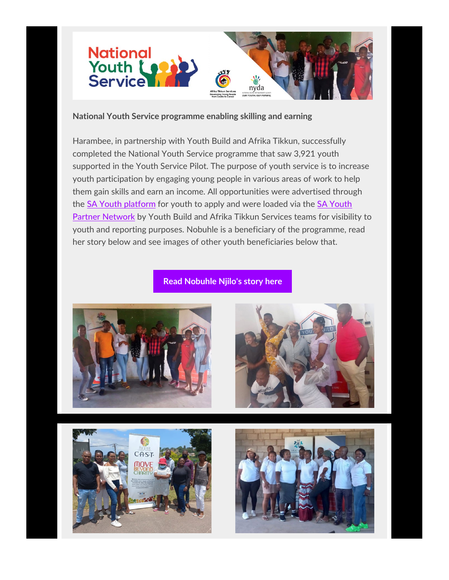

#### **National Youth Service programme enabling skilling and earning**

Harambee, in partnership with Youth Build and Afrika Tikkun, successfully completed the National Youth Service programme that saw 3,921 youth supported in the Youth Service Pilot. The purpose of youth service is to increase youth participation by engaging young people in various areas of work to help them gain skills and earn an income. All opportunities were advertised through the [SA Youth platform](https://email.harambee.co.za/e3t/Ctc/GD+113/cGKKy04/VVvnDl42gB5XW6FdlS17Vkw80W3GjFly4HgkDZN5DTzkV3lLBmV1-WJV7CgK3wW66qpqR1FkXFLW6gbR2n6FPB9-Ms9SyTrR7dMW850kFV6qpRfbN5PTx3pCMfsNW5xzWfd1x1q2wW2v73xQ1pfvt7VhjWsr5bV-NHW6fpkmJ6_PrQQW76_zmc3kjh9LW9m2Tc71nh1q8W3MZtFG7XmcjGW7mVkb746DmQ6N7ltg3VKCPQVN7MCtstg7DJgW7T4KNz7qlF88W6-5ht53cncqmW2b5jcT6Dl_ybW8ylw226w70xCW1C7yHd6JrkvcW4hN9ZC9cXkFZW5_3fM88PKzKH34rB1) for youth to apply and were loaded via the SA Youth [Partner Network](https://email.harambee.co.za/e3t/Ctc/GD+113/cGKKy04/VVvnDl42gB5XW6FdlS17Vkw80W3GjFly4HgkDZN5DTzkV3lLBmV1-WJV7CgJxYW6MS5697Gg3lHW53d9Dx2rXvy3W62B9982jqQcvW8NPvyK5ZfmZhN4m5cxTnG7gFW52y0mP6p_09PW3nqDgf3BtVjvW732QZx7Ql-kfW38HJ0L759XbbN3k6FnGrz198W3ffLR-4RPXXpW1tkd182d590WW40FPn07nlsM_VqBszd4dvzlbW8Gf5Sm5FMw4WW7Dkl8w6-N10YW7Q1q2S6n_0xPW6cdGgS6xf2w8VNS0n_1Y9_T1W6c4B6L29y_vLVTRZxW7mTXf2W8xLG1J3l_fyc2pK1) by Youth Build and Afrika Tikkun Services teams for visibility to youth and reporting purposes. Nobuhle is a beneficiary of the programme, read her story below and see images of other youth beneficiaries below that.

#### **Read Nobuhle [Njilo's story here](https://email.harambee.co.za/e3t/Ctc/GD+113/cGKKy04/VVvnDl42gB5XW6FdlS17Vkw80W3GjFly4HgkDZN5DTzlN3lLCfV1-WJV7CgRM1W3nKb__2N-vZ3VGrc_389wksmW8MM1xD8MFTTLN5dS084cFqXYW7_PNrR5yDqyMW8rZH808bSzzvW5Zc0Wq32y8zbW4_0qfJ4Jsp0QW8zVf6-5cbVfgW7_TWzy8pk_BNW88KZs74Y2nM1W87KJyD5X_yVPW1KdWxC1V-1wVW1ZQFb75tYJ3SW89p6n56kWBYCW6FDxBY8nBNzKW8M4jhr21LbfYMfsNyNgt2Y9N2LSKgq86-1LW8f3wJH8pCrPvN5kXCb8jBVBTN75MGR9-pl98VRx30S7t1FhSW3gCVrw4_xYbYW73-6L5486CxkN3SZJKsm9hqSW5GrRKH4-0x68N8CVnkmm8qxb33BH1)**







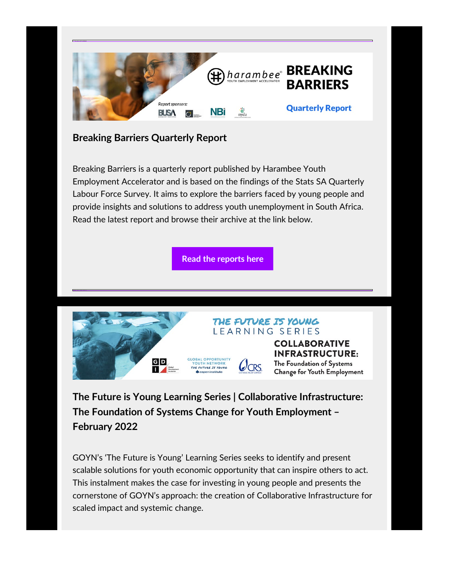

### **Breaking Barriers Quarterly Report**

Breaking Barriers is a quarterly report published by Harambee Youth Employment Accelerator and is based on the findings of the Stats SA Quarterly Labour Force Survey. It aims to explore the barriers faced by young people and provide insights and solutions to address youth unemployment in South Africa. Read the latest report and browse their archive at the link below.

**[Read the reports here](https://email.harambee.co.za/e3t/Ctc/GD+113/cGKKy04/VVvnDl42gB5XW6FdlS17Vkw80W3GjFly4HgkDZN5DTzl93lLBGV1-WJV7CgNlBVRP-w62DgR7jN98HS5hVBJHBW6z5lR116pmg_W7tVQ3H6tSS9TW6Nk3fG65y0jKW4WJvqj5nwfWsW22sqq46G8ZP8W96Lckj6jwrmgN4NLFX6JK4HdW8rQrNl4lfWK1W8R2GLX1fbN_MW4XZgSh5GcWk7W1GTG8k7TSW4zW624fqb1hWKZ0W40YspM1ZPpFyW7GnNwR78NPl-W2Qv9RT1W2Vd_W7XVgbW7f_rJZW8s4YK819_WVjW8FPGwW4f-KWYW78V8p35scdYqW8GWQPt8vZLp8W5Gd6t824wN_WW84xxCX6V2R1r3l8v1)**



**The Future is Young Learning Series | Collaborative Infrastructure: The Foundation of Systems Change for Youth Employment – February 2022**

GOYN's 'The Future is Young' Learning Series seeks to identify and present scalable solutions for youth economic opportunity that can inspire others to act. This instalment makes the case for investing in young people and presents the cornerstone of GOYN's approach: the creation of Collaborative Infrastructure for scaled impact and systemic change.